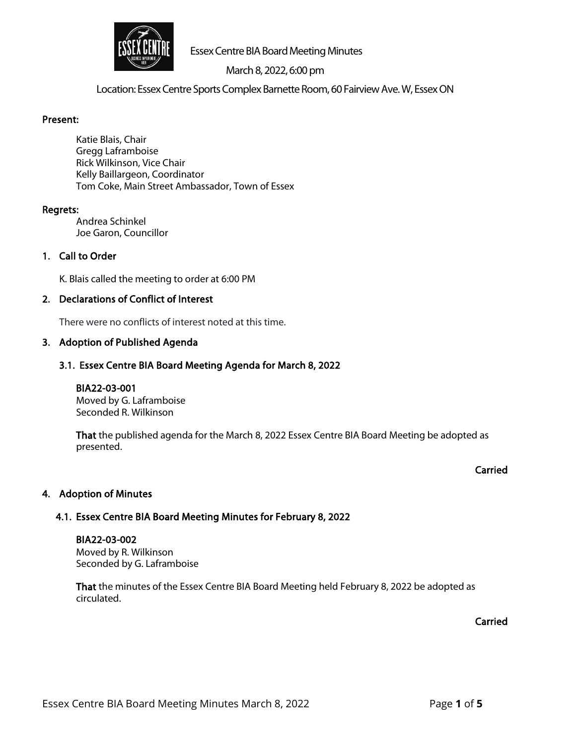

# March 8, 2022, 6:00 pm

Location: Essex Centre Sports Complex Barnette Room, 60 Fairview Ave. W, Essex ON

#### Present:

Katie Blais, Chair Gregg Laframboise Rick Wilkinson, Vice Chair Kelly Baillargeon, Coordinator Tom Coke, Main Street Ambassador, Town of Essex

#### Regrets:

Andrea Schinkel Joe Garon, Councillor

# 1. Call to Order

K. Blais called the meeting to order at 6:00 PM

#### 2. Declarations of Conflict of Interest

There were no conflicts of interest noted at this time.

#### 3. Adoption of Published Agenda

#### 3.1. Essex Centre BIA Board Meeting Agenda for March 8, 2022

BIA22-03-001 Moved by G. Laframboise Seconded R. Wilkinson

That the published agenda for the March 8, 2022 Essex Centre BIA Board Meeting be adopted as presented.

#### Carried

# 4. Adoption of Minutes

# 4.1. Essex Centre BIA Board Meeting Minutes for February 8, 2022

#### BIA22-03-002

Moved by R. Wilkinson Seconded by G. Laframboise

That the minutes of the Essex Centre BIA Board Meeting held February 8, 2022 be adopted as circulated.

Carried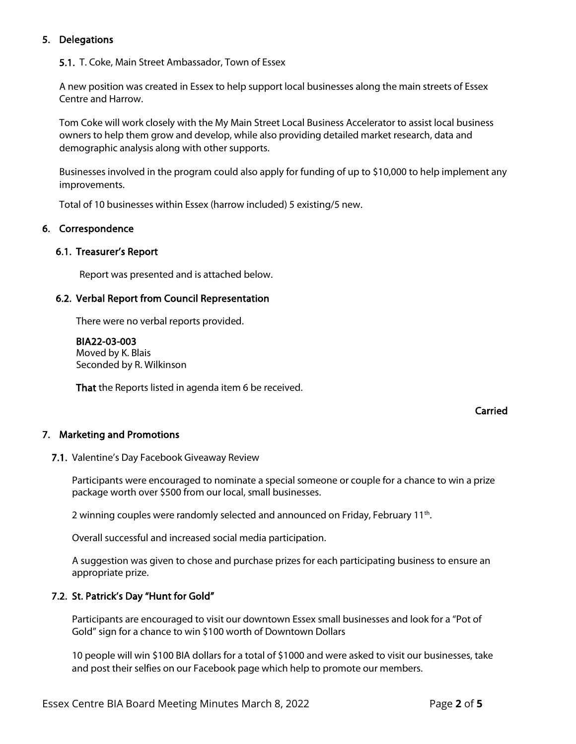# 5. Delegations

5.1. T. Coke, Main Street Ambassador, Town of Essex

A new position was created in Essex to help support local businesses along the main streets of Essex Centre and Harrow.

Tom Coke will work closely with the My Main Street Local Business Accelerator to assist local business owners to help them grow and develop, while also providing detailed market research, data and demographic analysis along with other supports.

Businesses involved in the program could also apply for funding of up to \$10,000 to help implement any improvements.

Total of 10 businesses within Essex (harrow included) 5 existing/5 new.

#### 6. Correspondence

#### 6.1. Treasurer's Report

Report was presented and is attached below.

#### 6.2. Verbal Report from Council Representation

There were no verbal reports provided.

BIA22-03-003 Moved by K. Blais Seconded by R. Wilkinson

That the Reports listed in agenda item 6 be received.

#### Carried

#### 7. Marketing and Promotions

7.1. Valentine's Day Facebook Giveaway Review

Participants were encouraged to nominate a special someone or couple for a chance to win a prize package worth over \$500 from our local, small businesses.

2 winning couples were randomly selected and announced on Friday, February 11<sup>th</sup>.

Overall successful and increased social media participation.

A suggestion was given to chose and purchase prizes for each participating business to ensure an appropriate prize.

#### 7.2. St. Patrick's Day "Hunt for Gold"

Participants are encouraged to visit our downtown Essex small businesses and look for a "Pot of Gold" sign for a chance to win \$100 worth of Downtown Dollars

10 people will win \$100 BIA dollars for a total of \$1000 and were asked to visit our businesses, take and post their selfies on our Facebook page which help to promote our members.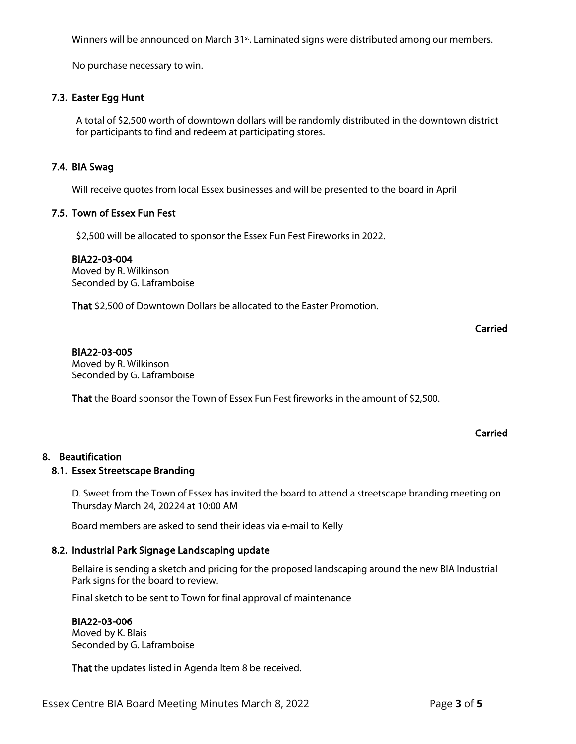Essex Centre BIA Board Meeting Minutes March 8, 2022 Page **3** of **5**

Winners will be announced on March 31<sup>st</sup>. Laminated signs were distributed among our members.

No purchase necessary to win.

# 7.3. Easter Egg Hunt

A total of \$2,500 worth of downtown dollars will be randomly distributed in the downtown district for participants to find and redeem at participating stores.

# 7.4. BIA Swag

Will receive quotes from local Essex businesses and will be presented to the board in April

# 7.5. Town of Essex Fun Fest

\$2,500 will be allocated to sponsor the Essex Fun Fest Fireworks in 2022.

#### BIA22-03-004

Moved by R. Wilkinson Seconded by G. Laframboise

That \$2,500 of Downtown Dollars be allocated to the Easter Promotion.

# Carried

# BIA22-03-005

Moved by R. Wilkinson Seconded by G. Laframboise

That the Board sponsor the Town of Essex Fun Fest fireworks in the amount of \$2,500.

# Carried

# 8. Beautification

# 8.1. Essex Streetscape Branding

D. Sweet from the Town of Essex has invited the board to attend a streetscape branding meeting on Thursday March 24, 20224 at 10:00 AM

Board members are asked to send their ideas via e-mail to Kelly

# 8.2. Industrial Park Signage Landscaping update

Bellaire is sending a sketch and pricing for the proposed landscaping around the new BIA Industrial Park signs for the board to review.

Final sketch to be sent to Town for final approval of maintenance

#### BIA22-03-006

Moved by K. Blais Seconded by G. Laframboise

That the updates listed in Agenda Item 8 be received.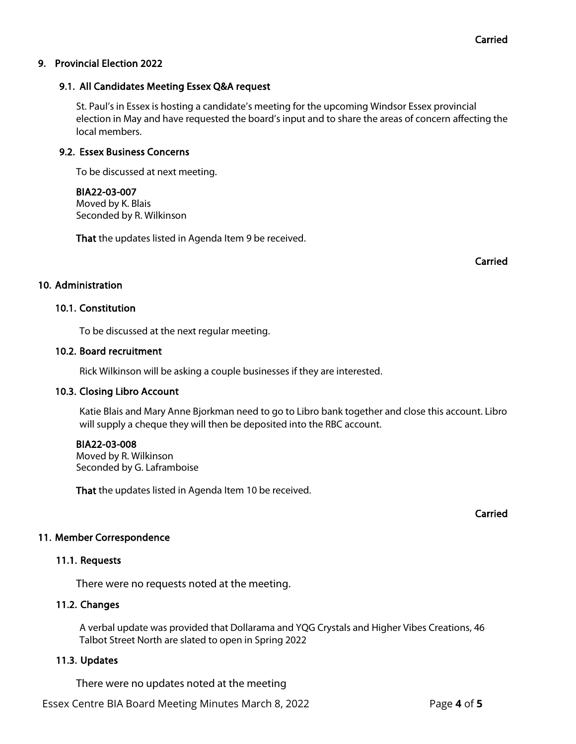# 9. Provincial Election 2022

# 9.1. All Candidates Meeting Essex Q&A request

St. Paul's in Essex is hosting a candidate's meeting for the upcoming Windsor Essex provincial election in May and have requested the board's input and to share the areas of concern affecting the local members.

#### 9.2. Essex Business Concerns

To be discussed at next meeting.

#### BIA22-03-007

Moved by K. Blais Seconded by R. Wilkinson

That the updates listed in Agenda Item 9 be received.

Carried

# 10. Administration

#### 10.1. Constitution

To be discussed at the next regular meeting.

#### 10.2. Board recruitment

Rick Wilkinson will be asking a couple businesses if they are interested.

# 10.3. Closing Libro Account

Katie Blais and Mary Anne Bjorkman need to go to Libro bank together and close this account. Libro will supply a cheque they will then be deposited into the RBC account.

#### BIA22-03-008

Moved by R. Wilkinson Seconded by G. Laframboise

That the updates listed in Agenda Item 10 be received.

Carried

# 11. Member Correspondence

# 11.1. Requests

There were no requests noted at the meeting.

# 11.2. Changes

A verbal update was provided that Dollarama and YQG Crystals and Higher Vibes Creations, 46 Talbot Street North are slated to open in Spring 2022

# 11.3. Updates

There were no updates noted at the meeting

Essex Centre BIA Board Meeting Minutes March 8, 2022 Page **4** of **5**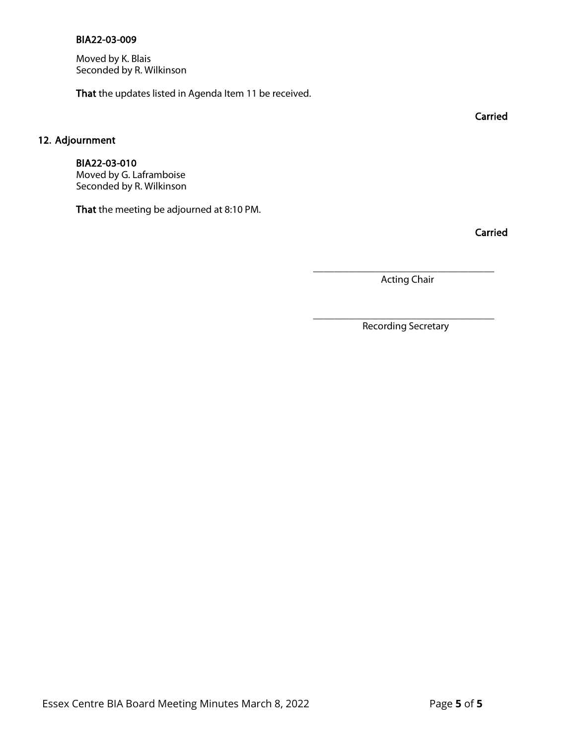#### BIA22-03-009

Moved by K. Blais Seconded by R. Wilkinson

That the updates listed in Agenda Item 11 be received.

# 12. Adjournment

# BIA22-03-010

Moved by G. Laframboise Seconded by R. Wilkinson

That the meeting be adjourned at 8:10 PM.

Carried

\_\_\_\_\_\_\_\_\_\_\_\_\_\_\_\_\_\_\_\_\_\_\_\_\_\_\_\_\_\_\_\_\_\_\_ Acting Chair

\_\_\_\_\_\_\_\_\_\_\_\_\_\_\_\_\_\_\_\_\_\_\_\_\_\_\_\_\_\_\_\_\_\_\_ Recording Secretary

Carried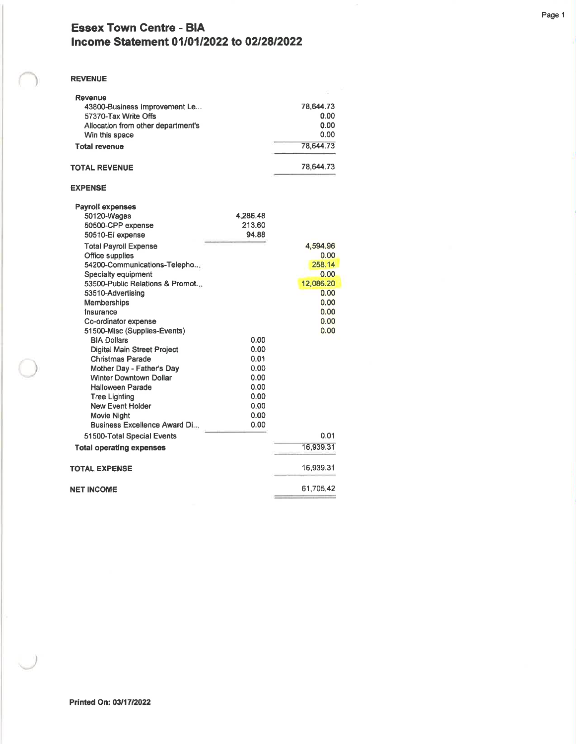# Essex Town Centre - BIA Income Statement 01/01/2022 to 02/28/2022

#### REVENUE

| Revenue<br>43800-Business Improvement Le |          | 78,644.73 |
|------------------------------------------|----------|-----------|
| 57370-Tax Write Offs                     |          | 0.00      |
| Allocation from other department's       |          | 0.00      |
| Win this space                           |          | 0.00      |
| <b>Total revenue</b>                     |          | 78,644.73 |
|                                          |          |           |
| TOTAL REVENUE                            |          | 78.644.73 |
| <b>EXPENSE</b>                           |          |           |
| <b>Payroll expenses</b>                  |          |           |
| 50120-Wages                              | 4,286.48 |           |
| 50500-CPP expense                        | 213.60   |           |
| 50510-El expense                         | 94.88    |           |
| <b>Total Payroll Expense</b>             |          | 4,594.96  |
| Office supplies                          |          | 0.00      |
| 54200-Communications-Telepho             |          | 258.14    |
| Specialty equipment                      |          | 0.00      |
| 53500-Public Relations & Promot          |          | 12,086.20 |
| 53510-Advertising                        |          | 0.00      |
| <b>Memberships</b>                       |          | 0.00      |
| <b>Insurance</b>                         |          | 0.00      |
| Co-ordinator expense                     |          | 0.00      |
| 51500-Misc (Supplies-Events)             |          | 0.00      |
| <b>BIA Dollars</b>                       | 0.00     |           |
| <b>Digital Main Street Project</b>       | 0.00     |           |
| <b>Christmas Parade</b>                  | 0.01     |           |
| Mother Day - Father's Day                | 0.00     |           |
| <b>Winter Downtown Dollar</b>            | 0.00     |           |
| <b>Halloween Parade</b>                  | 0.00     |           |
| <b>Tree Lighting</b>                     | 0.00     |           |
| <b>New Event Holder</b>                  | 0.00     |           |
| Movie Night                              | 0.00     |           |
| Business Excellence Award Di             | 0.00     |           |
| 51500-Total Special Events               |          | 0.01      |
| <b>Total operating expenses</b>          |          | 16,939.31 |
| TOTAL EXPENSE                            |          | 16,939.31 |
| NET INCOME                               |          | 61,705.42 |
|                                          |          |           |

Page <sup>1</sup>